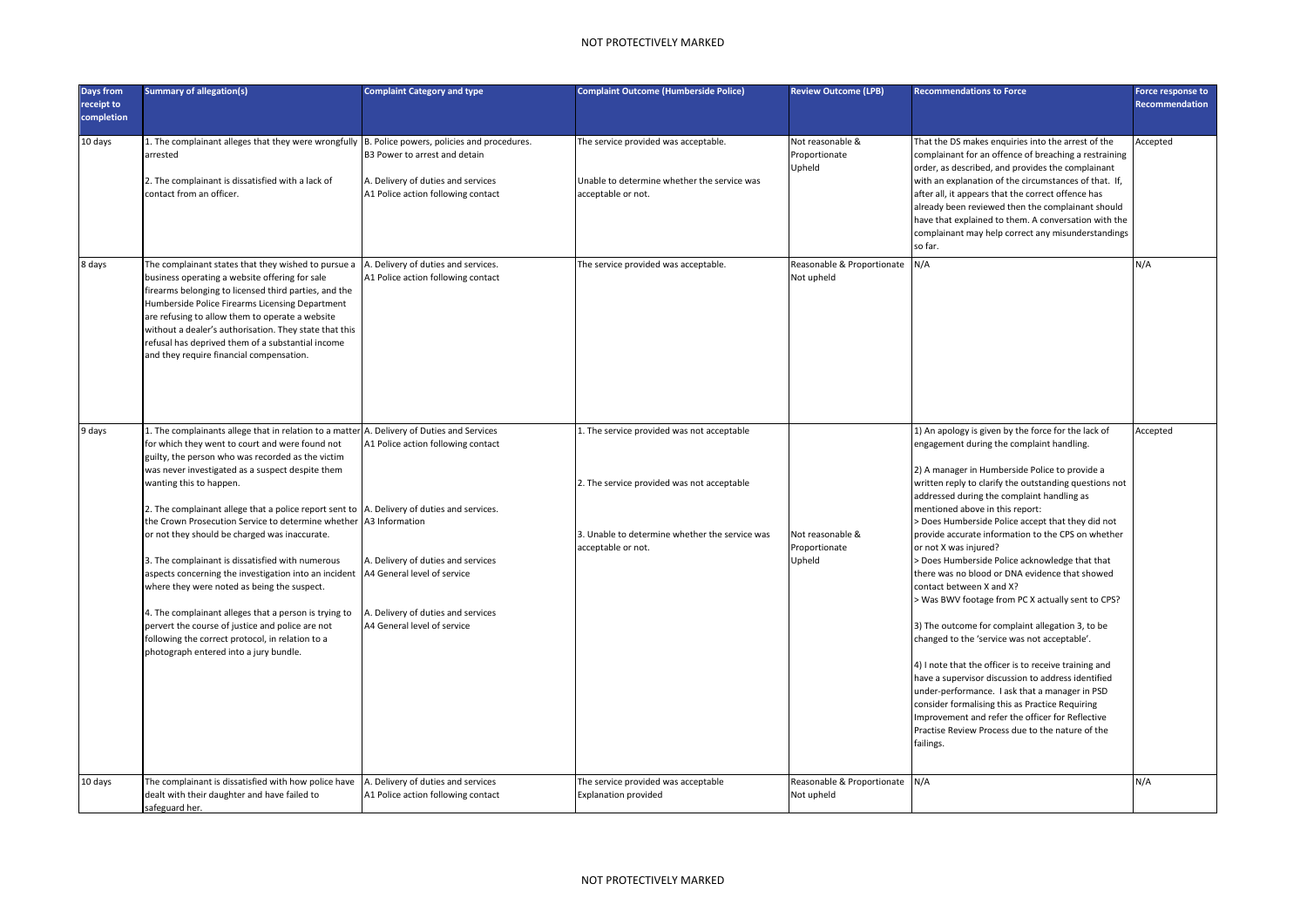## NOT PROTECTIVELY MARKED

| Days from<br>receipt to<br>completion | <b>Summary of allegation(s)</b>                                                                                                                                                                                                                                                                                                                                                                                                                                                                                                                                                                                                                                                                                                                                                                                           | <b>Complaint Category and type</b>                                                                                                                                                                                                    | <b>Complaint Outcome (Humberside Police)</b>                                                                                                                     | <b>Review Outcome (LPB)</b>                 | <b>Recommendations to Force</b>                                                                                                                                                                                                                                                                                                                                                                                                                                                                                                                                                                                                                                                                                                                                                                                                                                                                                                                                                                                                                                     | Force response to<br><b>Recommendation</b> |
|---------------------------------------|---------------------------------------------------------------------------------------------------------------------------------------------------------------------------------------------------------------------------------------------------------------------------------------------------------------------------------------------------------------------------------------------------------------------------------------------------------------------------------------------------------------------------------------------------------------------------------------------------------------------------------------------------------------------------------------------------------------------------------------------------------------------------------------------------------------------------|---------------------------------------------------------------------------------------------------------------------------------------------------------------------------------------------------------------------------------------|------------------------------------------------------------------------------------------------------------------------------------------------------------------|---------------------------------------------|---------------------------------------------------------------------------------------------------------------------------------------------------------------------------------------------------------------------------------------------------------------------------------------------------------------------------------------------------------------------------------------------------------------------------------------------------------------------------------------------------------------------------------------------------------------------------------------------------------------------------------------------------------------------------------------------------------------------------------------------------------------------------------------------------------------------------------------------------------------------------------------------------------------------------------------------------------------------------------------------------------------------------------------------------------------------|--------------------------------------------|
| 10 days                               | L. The complainant alleges that they were wrongfully  B. Police powers, policies and procedures.<br>arrested<br>2. The complainant is dissatisfied with a lack of<br>contact from an officer.                                                                                                                                                                                                                                                                                                                                                                                                                                                                                                                                                                                                                             | B3 Power to arrest and detain<br>A. Delivery of duties and services<br>A1 Police action following contact                                                                                                                             | The service provided was acceptable.<br>Unable to determine whether the service was<br>acceptable or not.                                                        | Not reasonable &<br>Proportionate<br>Upheld | That the DS makes enguiries into the arrest of the<br>complainant for an offence of breaching a restraining<br>order, as described, and provides the complainant<br>with an explanation of the circumstances of that. If,<br>after all, it appears that the correct offence has<br>already been reviewed then the complainant should<br>have that explained to them. A conversation with the<br>complainant may help correct any misunderstandings<br>so far.                                                                                                                                                                                                                                                                                                                                                                                                                                                                                                                                                                                                       | Accepted                                   |
| 8 days                                | The complainant states that they wished to pursue a<br>pusiness operating a website offering for sale<br>irearms belonging to licensed third parties, and the<br>Humberside Police Firearms Licensing Department<br>are refusing to allow them to operate a website<br>without a dealer's authorisation. They state that this<br>efusal has deprived them of a substantial income<br>and they require financial compensation.                                                                                                                                                                                                                                                                                                                                                                                             | A. Delivery of duties and services.<br>A1 Police action following contact                                                                                                                                                             | The service provided was acceptable.                                                                                                                             | Reasonable & Proportionate<br>Not upheld    | N/A                                                                                                                                                                                                                                                                                                                                                                                                                                                                                                                                                                                                                                                                                                                                                                                                                                                                                                                                                                                                                                                                 | N/A                                        |
| 9 days                                | L. The complainants allege that in relation to a matter A. Delivery of Duties and Services<br>for which they went to court and were found not<br>guilty, the person who was recorded as the victim<br>was never investigated as a suspect despite them<br>wanting this to happen.<br>2. The complainant allege that a police report sent to<br>the Crown Prosecution Service to determine whether<br>or not they should be charged was inaccurate.<br>3. The complainant is dissatisfied with numerous<br>aspects concerning the investigation into an incident<br>where they were noted as being the suspect.<br>4. The complainant alleges that a person is trying to<br>bervert the course of justice and police are not<br>following the correct protocol, in relation to a<br>photograph entered into a jury bundle. | A1 Police action following contact<br>A. Delivery of duties and services.<br>A3 Information<br>A. Delivery of duties and services<br>A4 General level of service<br>A. Delivery of duties and services<br>A4 General level of service | 1. The service provided was not acceptable<br>2. The service provided was not acceptable<br>3. Unable to determine whether the service was<br>acceptable or not. | Not reasonable &<br>Proportionate<br>Upheld | 1) An apology is given by the force for the lack of<br>engagement during the complaint handling.<br>2) A manager in Humberside Police to provide a<br>written reply to clarify the outstanding questions not<br>addressed during the complaint handling as<br>mentioned above in this report:<br>> Does Humberside Police accept that they did not<br>provide accurate information to the CPS on whether<br>or not X was injured?<br>> Does Humberside Police acknowledge that that<br>there was no blood or DNA evidence that showed<br>contact between X and X?<br>> Was BWV footage from PC X actually sent to CPS?<br>3) The outcome for complaint allegation 3, to be<br>changed to the 'service was not acceptable'.<br>4) I note that the officer is to receive training and<br>have a supervisor discussion to address identified<br>under-performance. I ask that a manager in PSD<br>consider formalising this as Practice Requiring<br>Improvement and refer the officer for Reflective<br>Practise Review Process due to the nature of the<br>failings. | Accepted                                   |
| 10 days                               | The complainant is dissatisfied with how police have<br>dealt with their daughter and have failed to<br>safeguard her.                                                                                                                                                                                                                                                                                                                                                                                                                                                                                                                                                                                                                                                                                                    | A. Delivery of duties and services<br>A1 Police action following contact                                                                                                                                                              | The service provided was acceptable<br><b>Explanation provided</b>                                                                                               | Reasonable & Proportionate<br>Not upheld    | N/A                                                                                                                                                                                                                                                                                                                                                                                                                                                                                                                                                                                                                                                                                                                                                                                                                                                                                                                                                                                                                                                                 | N/A                                        |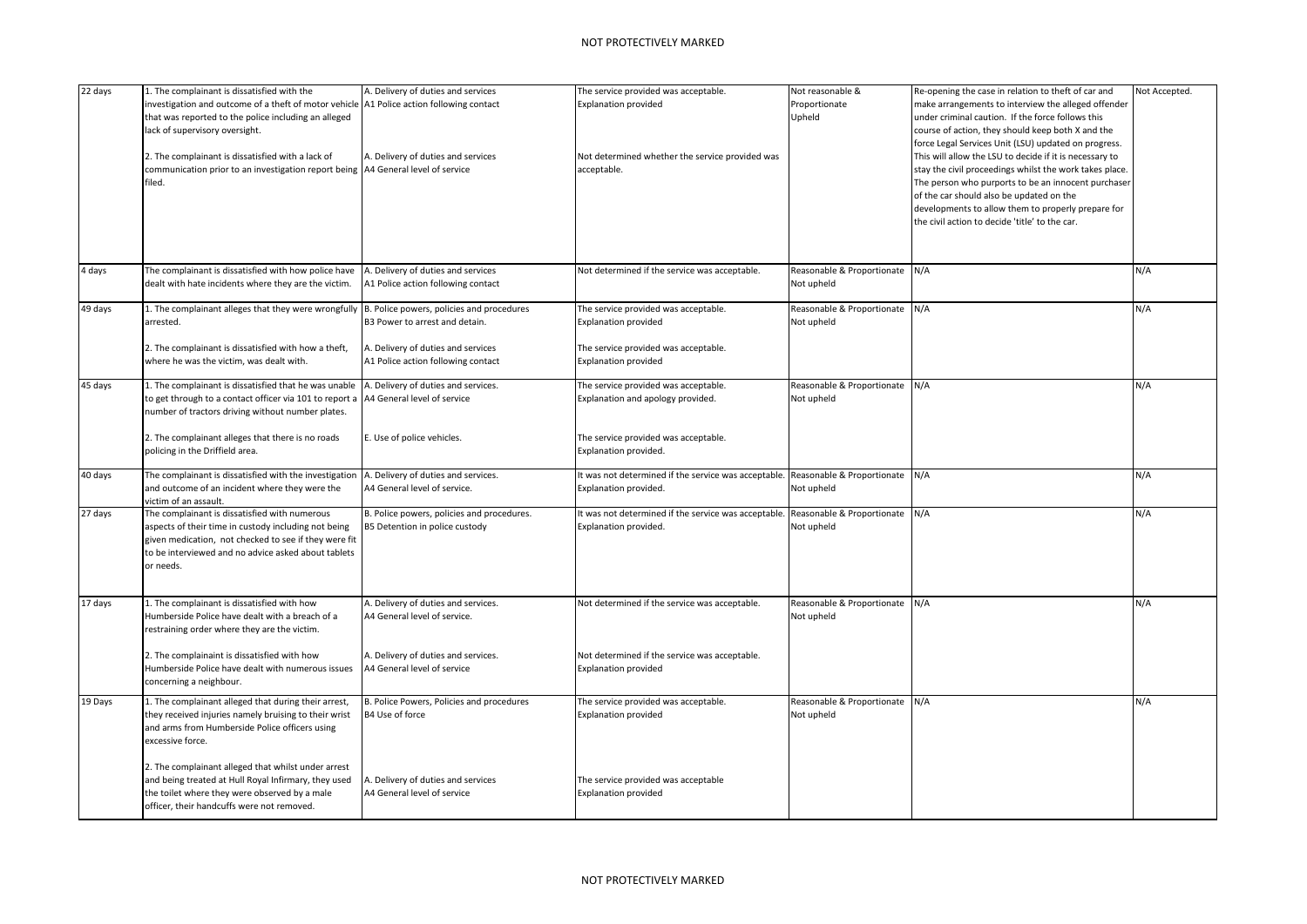| 22 days | 1. The complainant is dissatisfied with the<br>investigation and outcome of a theft of motor vehicle A1 Police action following contact<br>that was reported to the police including an alleged<br>ack of supervisory oversight.<br>2. The complainant is dissatisfied with a lack of<br>communication prior to an investigation report being   A4 General level of service<br>filed. | A. Delivery of duties and services<br>A. Delivery of duties and services                                   | The service provided was acceptable.<br><b>Explanation provided</b><br>Not determined whether the service provided was<br>acceptable.      | Not reasonable &<br>Proportionate<br>Upheld  | Re-opening the case in relation to theft of car and<br>make arrangements to interview the alleged offender<br>under criminal caution. If the force follows this<br>course of action, they should keep both X and the<br>force Legal Services Unit (LSU) updated on progress.<br>This will allow the LSU to decide if it is necessary to<br>stay the civil proceedings whilst the work takes place.<br>The person who purports to be an innocent purchaser<br>of the car should also be updated on the<br>developments to allow them to properly prepare for<br>the civil action to decide 'title' to the car. | <b>Vot Accepted.</b> |
|---------|---------------------------------------------------------------------------------------------------------------------------------------------------------------------------------------------------------------------------------------------------------------------------------------------------------------------------------------------------------------------------------------|------------------------------------------------------------------------------------------------------------|--------------------------------------------------------------------------------------------------------------------------------------------|----------------------------------------------|---------------------------------------------------------------------------------------------------------------------------------------------------------------------------------------------------------------------------------------------------------------------------------------------------------------------------------------------------------------------------------------------------------------------------------------------------------------------------------------------------------------------------------------------------------------------------------------------------------------|----------------------|
| 4 days  | The complainant is dissatisfied with how police have<br>dealt with hate incidents where they are the victim.                                                                                                                                                                                                                                                                          | A. Delivery of duties and services<br>A1 Police action following contact                                   | Not determined if the service was acceptable.                                                                                              | Reasonable & Proportionate<br>Not upheld     | N/A                                                                                                                                                                                                                                                                                                                                                                                                                                                                                                                                                                                                           | N/A                  |
| 49 days | 1. The complainant alleges that they were wrongfully  B. Police powers, policies and procedures<br>arrested.<br>2. The complainant is dissatisfied with how a theft,<br>where he was the victim, was dealt with.                                                                                                                                                                      | B3 Power to arrest and detain.<br>A. Delivery of duties and services<br>A1 Police action following contact | The service provided was acceptable.<br><b>Explanation provided</b><br>The service provided was acceptable.<br><b>Explanation provided</b> | Reasonable & Proportionate<br>Not upheld     | N/A                                                                                                                                                                                                                                                                                                                                                                                                                                                                                                                                                                                                           | N/A                  |
| 45 days | L. The complainant is dissatisfied that he was unable<br>to get through to a contact officer via 101 to report a<br>number of tractors driving without number plates.                                                                                                                                                                                                                 | A. Delivery of duties and services.<br>A4 General level of service                                         | The service provided was acceptable.<br>Explanation and apology provided.                                                                  | Reasonable & Proportionate N/A<br>Not upheld |                                                                                                                                                                                                                                                                                                                                                                                                                                                                                                                                                                                                               | N/A                  |
|         | 2. The complainant alleges that there is no roads<br>policing in the Driffield area.                                                                                                                                                                                                                                                                                                  | E. Use of police vehicles.                                                                                 | The service provided was acceptable.<br>Explanation provided.                                                                              |                                              |                                                                                                                                                                                                                                                                                                                                                                                                                                                                                                                                                                                                               |                      |
| 40 days | The complainant is dissatisfied with the investigation<br>and outcome of an incident where they were the<br>victim of an assault.                                                                                                                                                                                                                                                     | A. Delivery of duties and services.<br>A4 General level of service.                                        | It was not determined if the service was acceptable.<br>Explanation provided.                                                              | Reasonable & Proportionate<br>Not upheld     | N/A                                                                                                                                                                                                                                                                                                                                                                                                                                                                                                                                                                                                           | N/A                  |
| 27 days | The complainant is dissatisfied with numerous<br>aspects of their time in custody including not being<br>given medication, not checked to see if they were fit<br>to be interviewed and no advice asked about tablets<br>or needs.                                                                                                                                                    | B. Police powers, policies and procedures.<br>B5 Detention in police custody                               | It was not determined if the service was acceptable.<br>Explanation provided.                                                              | Reasonable & Proportionate N/A<br>Not upheld |                                                                                                                                                                                                                                                                                                                                                                                                                                                                                                                                                                                                               | N/A                  |
| 17 days | L. The complainant is dissatisfied with how<br>Humberside Police have dealt with a breach of a<br>restraining order where they are the victim.                                                                                                                                                                                                                                        | A. Delivery of duties and services.<br>A4 General level of service.                                        | Not determined if the service was acceptable.                                                                                              | Reasonable & Proportionate<br>Not upheld     | N/A                                                                                                                                                                                                                                                                                                                                                                                                                                                                                                                                                                                                           | N/A                  |
|         | 2. The complainaint is dissatisfied with how<br>Humberside Police have dealt with numerous issues<br>concerning a neighbour.                                                                                                                                                                                                                                                          | A. Delivery of duties and services.<br>A4 General level of service                                         | Not determined if the service was acceptable.<br><b>Explanation provided</b>                                                               |                                              |                                                                                                                                                                                                                                                                                                                                                                                                                                                                                                                                                                                                               |                      |
| 19 Days | L. The complainant alleged that during their arrest,<br>they received injuries namely bruising to their wrist<br>and arms from Humberside Police officers using<br>excessive force.                                                                                                                                                                                                   | B. Police Powers, Policies and procedures<br>B4 Use of force                                               | The service provided was acceptable.<br><b>Explanation provided</b>                                                                        | Reasonable & Proportionate N/A<br>Not upheld |                                                                                                                                                                                                                                                                                                                                                                                                                                                                                                                                                                                                               | N/A                  |
|         | 2. The complainant alleged that whilst under arrest<br>and being treated at Hull Royal Infirmary, they used<br>the toilet where they were observed by a male<br>officer, their handcuffs were not removed.                                                                                                                                                                            | A. Delivery of duties and services<br>A4 General level of service                                          | The service provided was acceptable<br><b>Explanation provided</b>                                                                         |                                              |                                                                                                                                                                                                                                                                                                                                                                                                                                                                                                                                                                                                               |                      |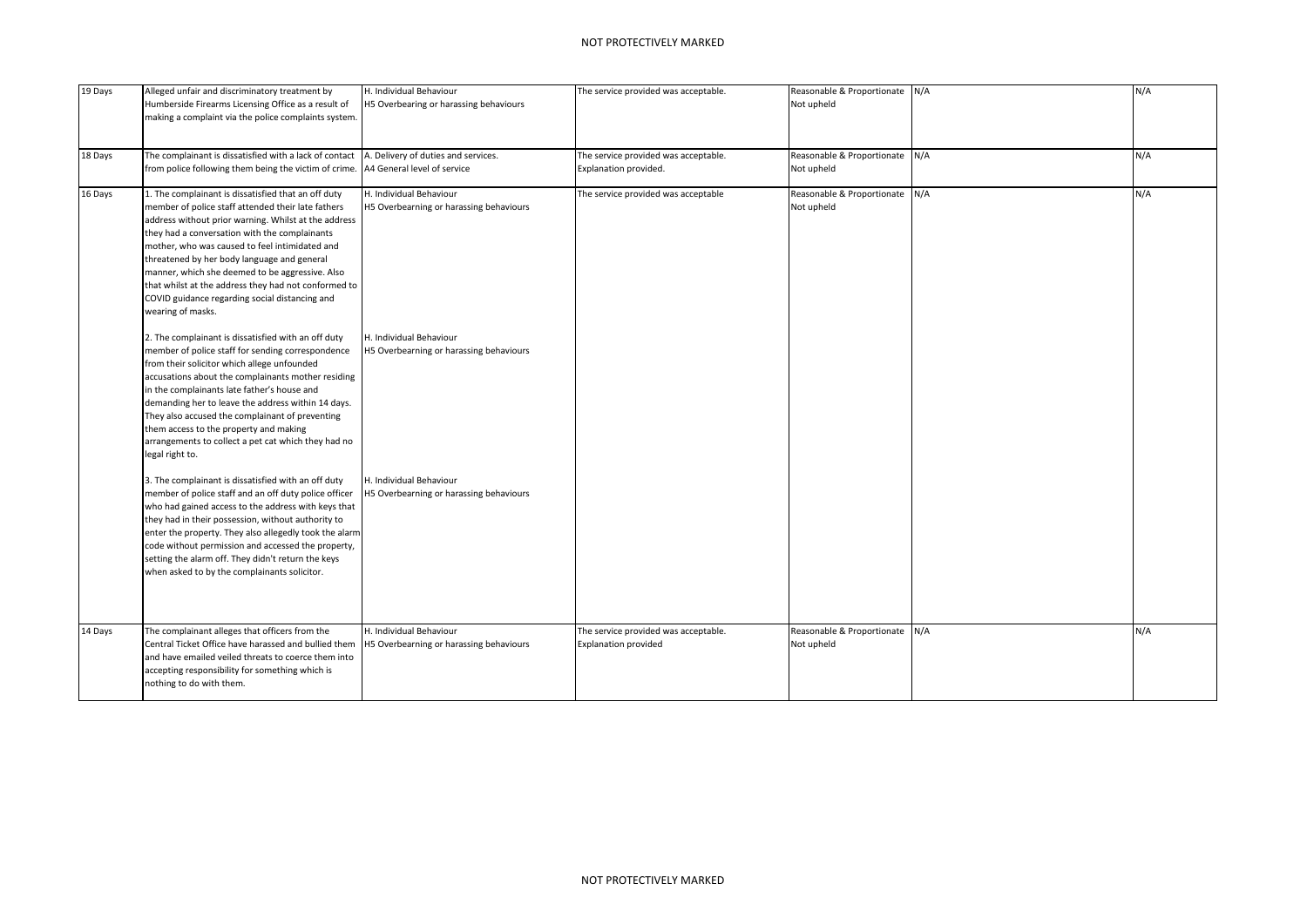| 19 Days | Alleged unfair and discriminatory treatment by<br>Humberside Firearms Licensing Office as a result of<br>making a complaint via the police complaints system.                                                                                                                                                                                                                                                                                                                                         | H. Individual Behaviour<br>H5 Overbearing or harassing behaviours  | The service provided was acceptable.                                | Reasonable & Proportionate N/A<br>Not upheld |     | N/A |
|---------|-------------------------------------------------------------------------------------------------------------------------------------------------------------------------------------------------------------------------------------------------------------------------------------------------------------------------------------------------------------------------------------------------------------------------------------------------------------------------------------------------------|--------------------------------------------------------------------|---------------------------------------------------------------------|----------------------------------------------|-----|-----|
| 18 Days | The complainant is dissatisfied with a lack of contact<br>from police following them being the victim of crime.                                                                                                                                                                                                                                                                                                                                                                                       | A. Delivery of duties and services.<br>A4 General level of service | The service provided was acceptable.<br>Explanation provided.       | Reasonable & Proportionate N/A<br>Not upheld |     | N/A |
| 16 Days | 1. The complainant is dissatisfied that an off duty<br>member of police staff attended their late fathers<br>address without prior warning. Whilst at the address<br>they had a conversation with the complainants<br>mother, who was caused to feel intimidated and<br>threatened by her body language and general<br>manner, which she deemed to be aggressive. Also<br>that whilst at the address they had not conformed to<br>COVID guidance regarding social distancing and<br>wearing of masks. | H. Individual Behaviour<br>H5 Overbearning or harassing behaviours | The service provided was acceptable                                 | Reasonable & Proportionate<br>Not upheld     | N/A | N/A |
|         | 2. The complainant is dissatisfied with an off duty<br>member of police staff for sending correspondence<br>from their solicitor which allege unfounded<br>accusations about the complainants mother residing<br>in the complainants late father's house and<br>demanding her to leave the address within 14 days.<br>They also accused the complainant of preventing<br>them access to the property and making<br>arrangements to collect a pet cat which they had no<br>legal right to.             | H. Individual Behaviour<br>H5 Overbearning or harassing behaviours |                                                                     |                                              |     |     |
|         | 3. The complainant is dissatisfied with an off duty<br>member of police staff and an off duty police officer<br>who had gained access to the address with keys that<br>they had in their possession, without authority to<br>enter the property. They also allegedly took the alarm<br>code without permission and accessed the property,<br>setting the alarm off. They didn't return the keys<br>when asked to by the complainants solicitor.                                                       | H. Individual Behaviour<br>H5 Overbearning or harassing behaviours |                                                                     |                                              |     |     |
| 14 Days | The complainant alleges that officers from the<br>Central Ticket Office have harassed and bullied them<br>and have emailed veiled threats to coerce them into<br>accepting responsibility for something which is<br>nothing to do with them.                                                                                                                                                                                                                                                          | H. Individual Behaviour<br>H5 Overbearning or harassing behaviours | The service provided was acceptable.<br><b>Explanation provided</b> | Reasonable & Proportionate N/A<br>Not upheld |     | N/A |